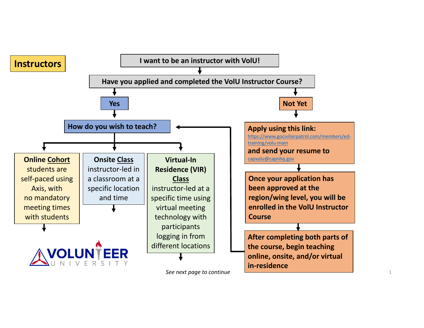